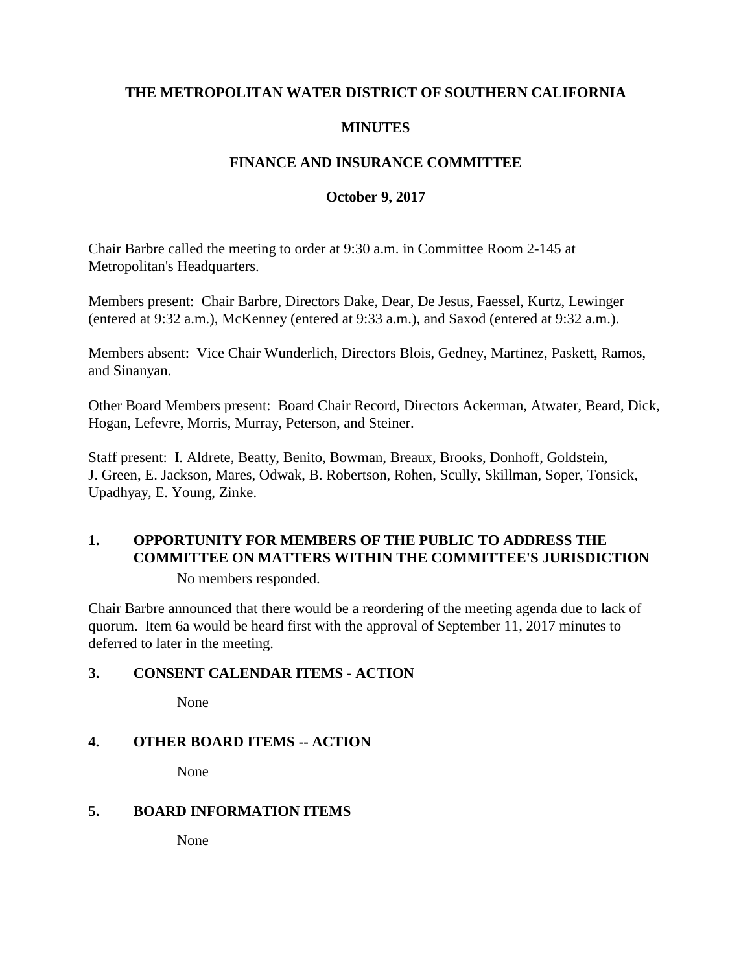### **THE METROPOLITAN WATER DISTRICT OF SOUTHERN CALIFORNIA**

# **MINUTES**

# **FINANCE AND INSURANCE COMMITTEE**

#### **October 9, 2017**

Chair Barbre called the meeting to order at 9:30 a.m. in Committee Room 2-145 at Metropolitan's Headquarters.

Members present: Chair Barbre, Directors Dake, Dear, De Jesus, Faessel, Kurtz, Lewinger (entered at 9:32 a.m.), McKenney (entered at 9:33 a.m.), and Saxod (entered at 9:32 a.m.).

Members absent: Vice Chair Wunderlich, Directors Blois, Gedney, Martinez, Paskett, Ramos, and Sinanyan.

Other Board Members present: Board Chair Record, Directors Ackerman, Atwater, Beard, Dick, Hogan, Lefevre, Morris, Murray, Peterson, and Steiner.

Staff present: I. Aldrete, Beatty, Benito, Bowman, Breaux, Brooks, Donhoff, Goldstein, J. Green, E. Jackson, Mares, Odwak, B. Robertson, Rohen, Scully, Skillman, Soper, Tonsick, Upadhyay, E. Young, Zinke.

# **1. OPPORTUNITY FOR MEMBERS OF THE PUBLIC TO ADDRESS THE COMMITTEE ON MATTERS WITHIN THE COMMITTEE'S JURISDICTION**

No members responded.

Chair Barbre announced that there would be a reordering of the meeting agenda due to lack of quorum. Item 6a would be heard first with the approval of September 11, 2017 minutes to deferred to later in the meeting.

# **3. CONSENT CALENDAR ITEMS - ACTION**

None

# **4. OTHER BOARD ITEMS -- ACTION**

None

#### **5. BOARD INFORMATION ITEMS**

None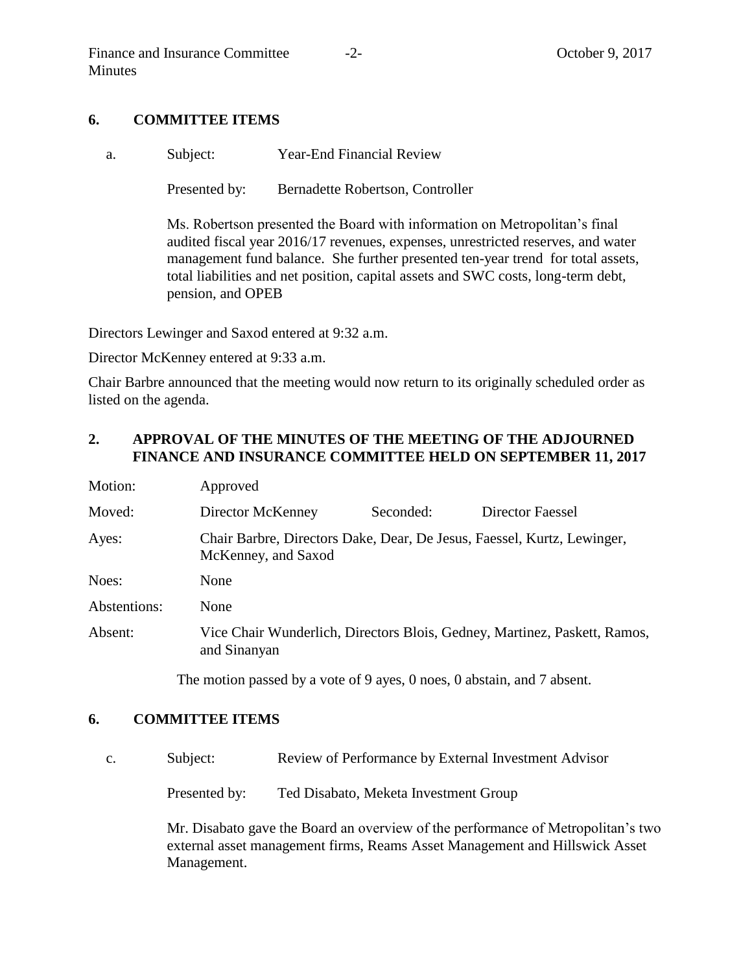### **6. COMMITTEE ITEMS**

a. Subject: Year-End Financial Review

Presented by: Bernadette Robertson, Controller

Ms. Robertson presented the Board with information on Metropolitan's final audited fiscal year 2016/17 revenues, expenses, unrestricted reserves, and water management fund balance. She further presented ten-year trend for total assets, total liabilities and net position, capital assets and SWC costs, long-term debt, pension, and OPEB

Directors Lewinger and Saxod entered at 9:32 a.m.

Director McKenney entered at 9:33 a.m.

Chair Barbre announced that the meeting would now return to its originally scheduled order as listed on the agenda.

# **2. APPROVAL OF THE MINUTES OF THE MEETING OF THE ADJOURNED FINANCE AND INSURANCE COMMITTEE HELD ON SEPTEMBER 11, 2017**

| Motion:      | Approved                                                                                       |           |                  |
|--------------|------------------------------------------------------------------------------------------------|-----------|------------------|
| Moved:       | Director McKenney                                                                              | Seconded: | Director Faessel |
| Ayes:        | Chair Barbre, Directors Dake, Dear, De Jesus, Faessel, Kurtz, Lewinger,<br>McKenney, and Saxod |           |                  |
| Noes:        | None                                                                                           |           |                  |
| Abstentions: | None                                                                                           |           |                  |
| Absent:      | Vice Chair Wunderlich, Directors Blois, Gedney, Martinez, Paskett, Ramos,<br>and Sinanyan      |           |                  |

The motion passed by a vote of 9 ayes, 0 noes, 0 abstain, and 7 absent.

#### **6. COMMITTEE ITEMS**

c. Subject: Review of Performance by External Investment Advisor

Presented by: Ted Disabato, Meketa Investment Group

Mr. Disabato gave the Board an overview of the performance of Metropolitan's two external asset management firms, Reams Asset Management and Hillswick Asset Management.